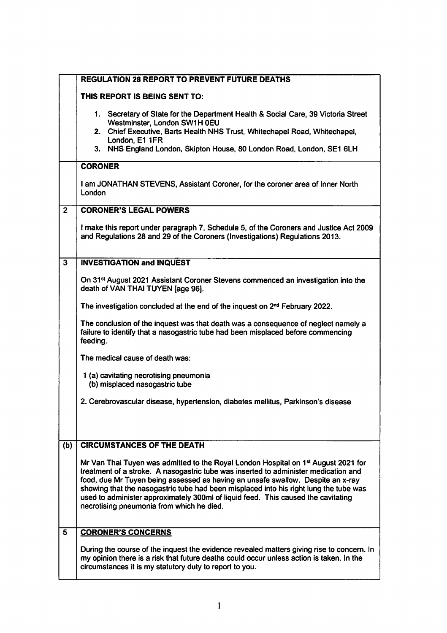|                         | <b>REGULATION 28 REPORT TO PREVENT FUTURE DEATHS</b>                                                                                                                                                                                             |
|-------------------------|--------------------------------------------------------------------------------------------------------------------------------------------------------------------------------------------------------------------------------------------------|
|                         | THIS REPORT IS BEING SENT TO:                                                                                                                                                                                                                    |
|                         | 1. Secretary of State for the Department Health & Social Care, 39 Victoria Street<br>Westminster, London SW1H 0EU                                                                                                                                |
|                         | 2. Chief Executive, Barts Health NHS Trust, Whitechapel Road, Whitechapel,<br>London, E1 1FR                                                                                                                                                     |
|                         | 3. NHS England London, Skipton House, 80 London Road, London, SE1 6LH                                                                                                                                                                            |
|                         | <b>CORONER</b>                                                                                                                                                                                                                                   |
|                         | I am JONATHAN STEVENS, Assistant Coroner, for the coroner area of Inner North<br>London                                                                                                                                                          |
| $\overline{2}$          | <b>CORONER'S LEGAL POWERS</b>                                                                                                                                                                                                                    |
|                         | I make this report under paragraph 7, Schedule 5, of the Coroners and Justice Act 2009<br>and Regulations 28 and 29 of the Coroners (Investigations) Regulations 2013.                                                                           |
| $\overline{\mathbf{3}}$ | <b>INVESTIGATION and INQUEST</b>                                                                                                                                                                                                                 |
|                         | On 31 <sup>st</sup> August 2021 Assistant Coroner Stevens commenced an investigation into the<br>death of VAN THAI TUYEN [age 96].                                                                                                               |
|                         | The investigation concluded at the end of the inquest on 2 <sup>nd</sup> February 2022.                                                                                                                                                          |
|                         | The conclusion of the inquest was that death was a consequence of neglect namely a<br>failure to identify that a nasogastric tube had been misplaced before commencing<br>feeding.                                                               |
|                         | The medical cause of death was:                                                                                                                                                                                                                  |
|                         | 1 (a) cavitating necrotising pneumonia<br>(b) misplaced nasogastric tube                                                                                                                                                                         |
|                         | 2. Cerebrovascular disease, hypertension, diabetes mellitus, Parkinson's disease                                                                                                                                                                 |
|                         |                                                                                                                                                                                                                                                  |
| (b)                     | <b>CIRCUMSTANCES OF THE DEATH</b>                                                                                                                                                                                                                |
|                         |                                                                                                                                                                                                                                                  |
|                         | Mr Van Thai Tuyen was admitted to the Royal London Hospital on 1st August 2021 for<br>treatment of a stroke. A nasogastric tube was inserted to administer medication and                                                                        |
|                         | food, due Mr Tuyen being assessed as having an unsafe swallow. Despite an x-ray<br>showing that the nasogastric tube had been misplaced into his right lung the tube was                                                                         |
|                         | used to administer approximately 300ml of liquid feed. This caused the cavitating                                                                                                                                                                |
|                         | necrotising pneumonia from which he died.                                                                                                                                                                                                        |
| 5                       | <b>CORONER'S CONCERNS</b>                                                                                                                                                                                                                        |
|                         | During the course of the inquest the evidence revealed matters giving rise to concern. In<br>my opinion there is a risk that future deaths could occur unless action is taken. In the<br>circumstances it is my statutory duty to report to you. |